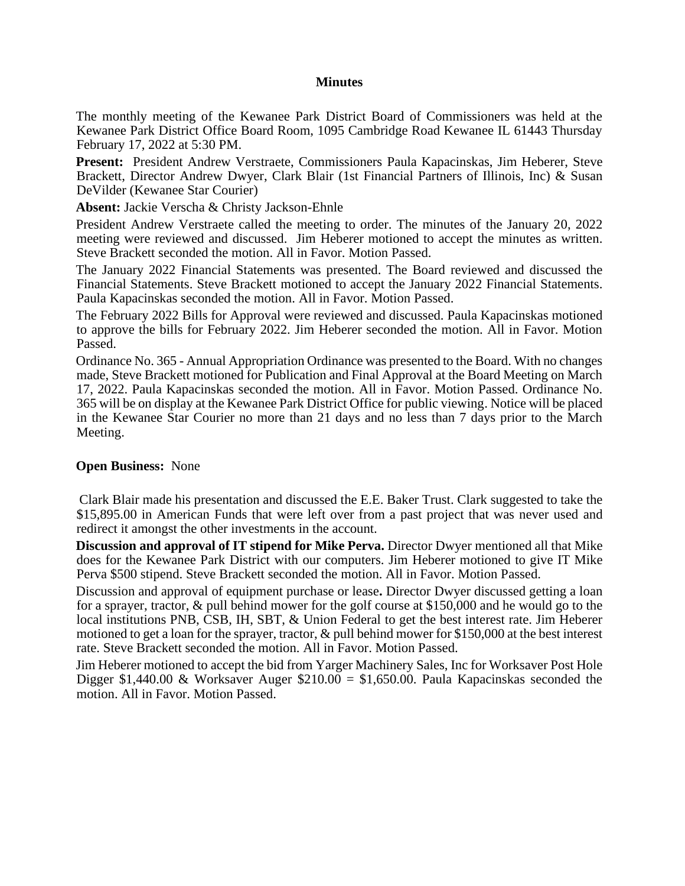## **Minutes**

The monthly meeting of the Kewanee Park District Board of Commissioners was held at the Kewanee Park District Office Board Room, 1095 Cambridge Road Kewanee IL 61443 Thursday February 17, 2022 at 5:30 PM.

**Present:** President Andrew Verstraete, Commissioners Paula Kapacinskas, Jim Heberer, Steve Brackett, Director Andrew Dwyer, Clark Blair (1st Financial Partners of Illinois, Inc) & Susan DeVilder (Kewanee Star Courier)

**Absent:** Jackie Verscha & Christy Jackson-Ehnle

President Andrew Verstraete called the meeting to order. The minutes of the January 20, 2022 meeting were reviewed and discussed. Jim Heberer motioned to accept the minutes as written. Steve Brackett seconded the motion. All in Favor. Motion Passed.

The January 2022 Financial Statements was presented. The Board reviewed and discussed the Financial Statements. Steve Brackett motioned to accept the January 2022 Financial Statements. Paula Kapacinskas seconded the motion. All in Favor. Motion Passed.

The February 2022 Bills for Approval were reviewed and discussed. Paula Kapacinskas motioned to approve the bills for February 2022. Jim Heberer seconded the motion. All in Favor. Motion Passed.

Ordinance No. 365 - Annual Appropriation Ordinance was presented to the Board. With no changes made, Steve Brackett motioned for Publication and Final Approval at the Board Meeting on March 17, 2022. Paula Kapacinskas seconded the motion. All in Favor. Motion Passed. Ordinance No. 365 will be on display at the Kewanee Park District Office for public viewing. Notice will be placed in the Kewanee Star Courier no more than 21 days and no less than 7 days prior to the March Meeting.

## **Open Business:** None

Clark Blair made his presentation and discussed the E.E. Baker Trust. Clark suggested to take the \$15,895.00 in American Funds that were left over from a past project that was never used and redirect it amongst the other investments in the account.

**Discussion and approval of IT stipend for Mike Perva.** Director Dwyer mentioned all that Mike does for the Kewanee Park District with our computers. Jim Heberer motioned to give IT Mike Perva \$500 stipend. Steve Brackett seconded the motion. All in Favor. Motion Passed.

Discussion and approval of equipment purchase or lease**.** Director Dwyer discussed getting a loan for a sprayer, tractor, & pull behind mower for the golf course at \$150,000 and he would go to the local institutions PNB, CSB, IH, SBT, & Union Federal to get the best interest rate. Jim Heberer motioned to get a loan for the sprayer, tractor, & pull behind mower for \$150,000 at the best interest rate. Steve Brackett seconded the motion. All in Favor. Motion Passed.

Jim Heberer motioned to accept the bid from Yarger Machinery Sales, Inc for Worksaver Post Hole Digger \$1,440.00 & Worksaver Auger  $$210.00 = $1,650.00$ . Paula Kapacinskas seconded the motion. All in Favor. Motion Passed.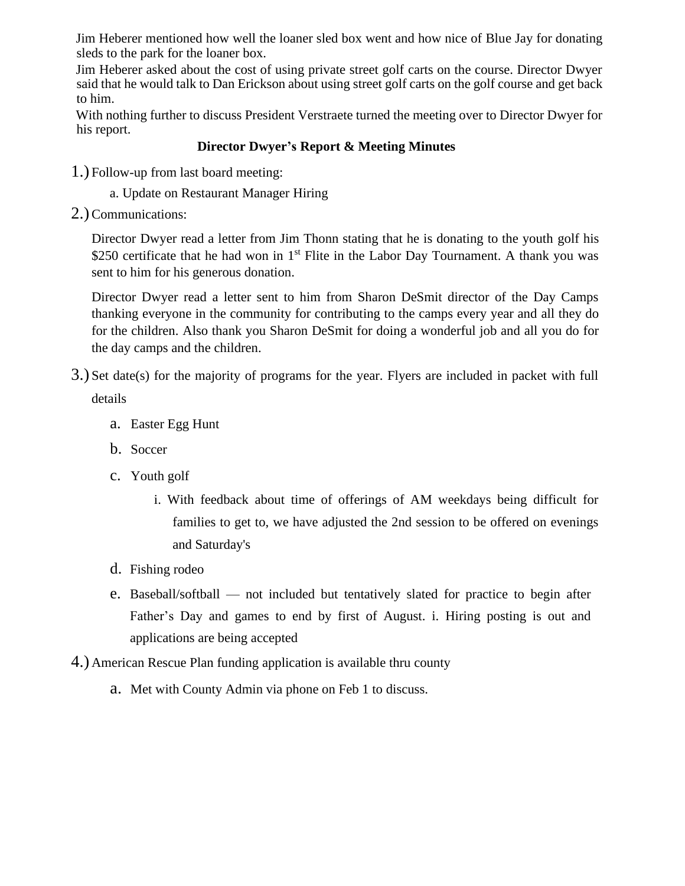Jim Heberer mentioned how well the loaner sled box went and how nice of Blue Jay for donating sleds to the park for the loaner box.

Jim Heberer asked about the cost of using private street golf carts on the course. Director Dwyer said that he would talk to Dan Erickson about using street golf carts on the golf course and get back to him.

With nothing further to discuss President Verstraete turned the meeting over to Director Dwyer for his report.

## **Director Dwyer's Report & Meeting Minutes**

1.) Follow-up from last board meeting:

a. Update on Restaurant Manager Hiring

2.)Communications:

Director Dwyer read a letter from Jim Thonn stating that he is donating to the youth golf his \$250 certificate that he had won in  $1<sup>st</sup>$  Flite in the Labor Day Tournament. A thank you was sent to him for his generous donation.

Director Dwyer read a letter sent to him from Sharon DeSmit director of the Day Camps thanking everyone in the community for contributing to the camps every year and all they do for the children. Also thank you Sharon DeSmit for doing a wonderful job and all you do for the day camps and the children.

- 3.) Set date(s) for the majority of programs for the year. Flyers are included in packet with full details
	- a. Easter Egg Hunt
	- b. Soccer
	- c. Youth golf
		- i. With feedback about time of offerings of AM weekdays being difficult for families to get to, we have adjusted the 2nd session to be offered on evenings and Saturday's
	- d. Fishing rodeo
	- e. Baseball/softball not included but tentatively slated for practice to begin after Father's Day and games to end by first of August. i. Hiring posting is out and applications are being accepted
- 4.) American Rescue Plan funding application is available thru county
	- a. Met with County Admin via phone on Feb 1 to discuss.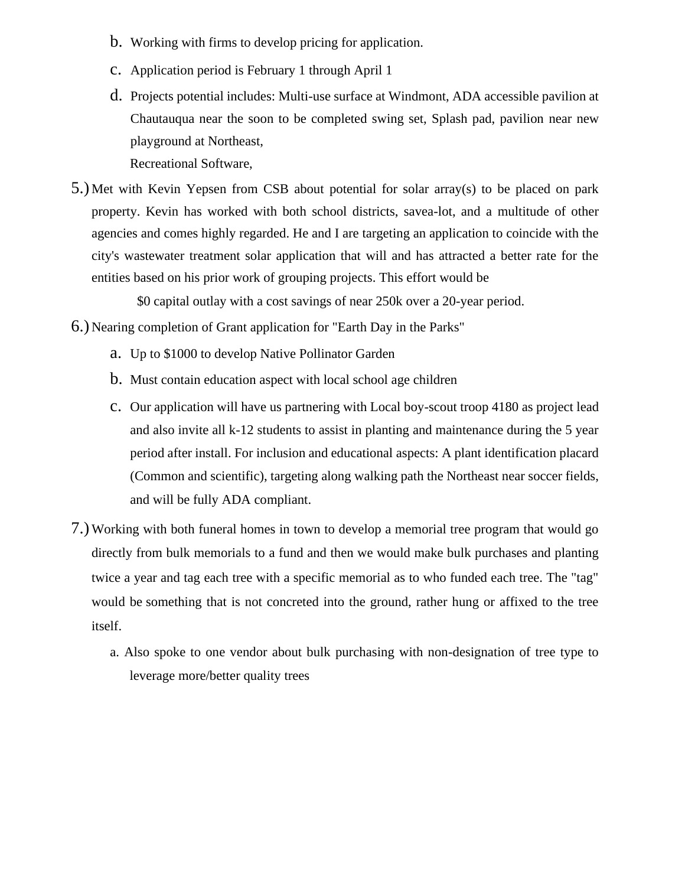- b. Working with firms to develop pricing for application.
- c. Application period is February 1 through April 1
- d. Projects potential includes: Multi-use surface at Windmont, ADA accessible pavilion at Chautauqua near the soon to be completed swing set, Splash pad, pavilion near new playground at Northeast,

Recreational Software,

5.) Met with Kevin Yepsen from CSB about potential for solar array(s) to be placed on park property. Kevin has worked with both school districts, savea-lot, and a multitude of other agencies and comes highly regarded. He and I are targeting an application to coincide with the city's wastewater treatment solar application that will and has attracted a better rate for the entities based on his prior work of grouping projects. This effort would be

\$0 capital outlay with a cost savings of near 250k over a 20-year period.

- 6.) Nearing completion of Grant application for "Earth Day in the Parks"
	- a. Up to \$1000 to develop Native Pollinator Garden
	- b. Must contain education aspect with local school age children
	- c. Our application will have us partnering with Local boy-scout troop 4180 as project lead and also invite all k-12 students to assist in planting and maintenance during the 5 year period after install. For inclusion and educational aspects: A plant identification placard (Common and scientific), targeting along walking path the Northeast near soccer fields, and will be fully ADA compliant.
- 7.) Working with both funeral homes in town to develop a memorial tree program that would go directly from bulk memorials to a fund and then we would make bulk purchases and planting twice a year and tag each tree with a specific memorial as to who funded each tree. The "tag" would be something that is not concreted into the ground, rather hung or affixed to the tree itself.
	- a. Also spoke to one vendor about bulk purchasing with non-designation of tree type to leverage more/better quality trees